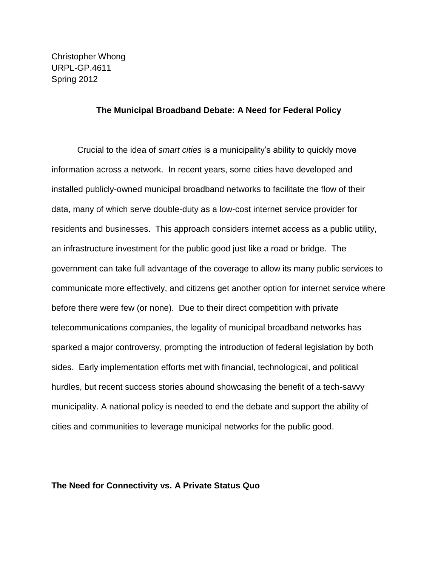Christopher Whong URPL-GP.4611 Spring 2012

## **The Municipal Broadband Debate: A Need for Federal Policy**

Crucial to the idea of *smart cities* is a municipality's ability to quickly move information across a network. In recent years, some cities have developed and installed publicly-owned municipal broadband networks to facilitate the flow of their data, many of which serve double-duty as a low-cost internet service provider for residents and businesses. This approach considers internet access as a public utility, an infrastructure investment for the public good just like a road or bridge. The government can take full advantage of the coverage to allow its many public services to communicate more effectively, and citizens get another option for internet service where before there were few (or none). Due to their direct competition with private telecommunications companies, the legality of municipal broadband networks has sparked a major controversy, prompting the introduction of federal legislation by both sides. Early implementation efforts met with financial, technological, and political hurdles, but recent success stories abound showcasing the benefit of a tech-savvy municipality. A national policy is needed to end the debate and support the ability of cities and communities to leverage municipal networks for the public good.

### **The Need for Connectivity vs. A Private Status Quo**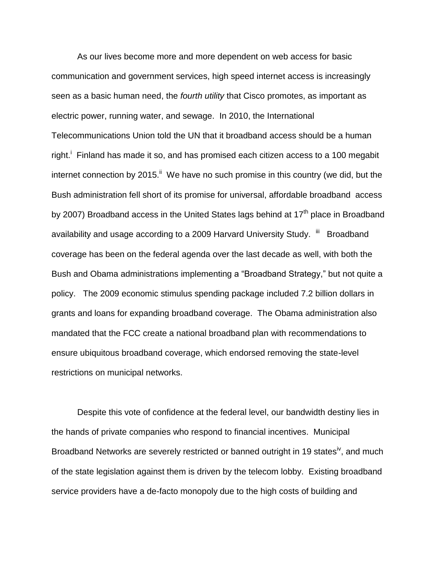As our lives become more and more dependent on web access for basic communication and government services, high speed internet access is increasingly seen as a basic human need, the *fourth utility* that Cisco promotes, as important as electric power, running water, and sewage. In 2010, the International Telecommunications Union told the UN that it broadband access should be a human right.<sup>i</sup> Finland has made it so, and has promised each citizen access to a 100 megabit internet connection by 2015. $\mathsf{I}^{\mathsf{I}}$  We have no such promise in this country (we did, but the Bush administration fell short of its promise for universal, affordable broadband access by 2007) Broadband access in the United States lags behind at  $17<sup>th</sup>$  place in Broadband availability and usage according to a 2009 Harvard University Study. <sup>iii</sup> Broadband coverage has been on the federal agenda over the last decade as well, with both the Bush and Obama administrations implementing a "Broadband Strategy," but not quite a policy. The 2009 economic stimulus spending package included 7.2 billion dollars in grants and loans for expanding broadband coverage. The Obama administration also mandated that the FCC create a national broadband plan with recommendations to ensure ubiquitous broadband coverage, which endorsed removing the state-level restrictions on municipal networks.

Despite this vote of confidence at the federal level, our bandwidth destiny lies in the hands of private companies who respond to financial incentives. Municipal Broadband Networks are severely restricted or banned outright in 19 states<sup>iv</sup>, and much of the state legislation against them is driven by the telecom lobby. Existing broadband service providers have a de-facto monopoly due to the high costs of building and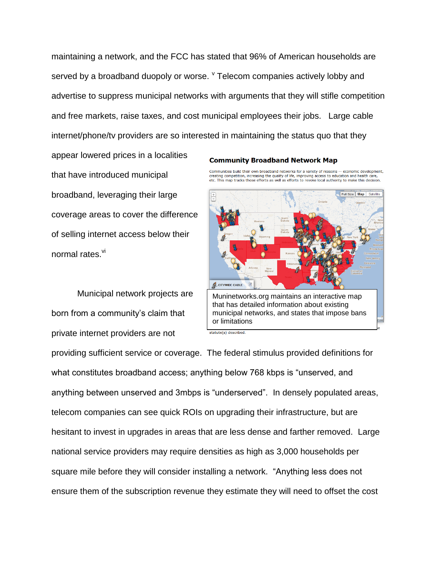maintaining a network, and the FCC has stated that 96% of American households are served by a broadband duopoly or worse. <sup>v</sup> Telecom companies actively lobby and advertise to suppress municipal networks with arguments that they will stifle competition and free markets, raise taxes, and cost municipal employees their jobs. Large cable internet/phone/tv providers are so interested in maintaining the status quo that they

appear lowered prices in a localities that have introduced municipal broadband, leveraging their large coverage areas to cover the difference of selling internet access below their normal rates.<sup>vi</sup>

Municipal network projects are born from a community's claim that private internet providers are not

#### **Community Broadband Network Map**

Communities build their own broadband networks for a variety of reasons -- economic development. creating competition, increasing the quality of life, improving access to education and health care, recating competition, increasing the quality of life, improving access to education and health care, etc. This map tracks



providing sufficient service or coverage. The federal stimulus provided definitions for what constitutes broadband access; anything below 768 kbps is "unserved, and anything between unserved and 3mbps is "underserved". In densely populated areas, telecom companies can see quick ROIs on upgrading their infrastructure, but are hesitant to invest in upgrades in areas that are less dense and farther removed. Large national service providers may require densities as high as 3,000 households per square mile before they will consider installing a network. "Anything less does not ensure them of the subscription revenue they estimate they will need to offset the cost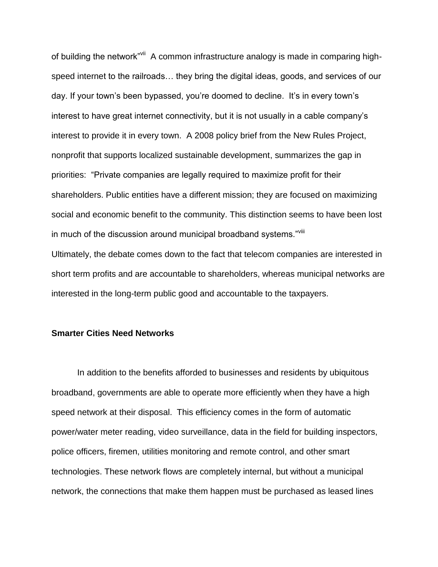of building the network"<sup>vii</sup> A common infrastructure analogy is made in comparing highspeed internet to the railroads… they bring the digital ideas, goods, and services of our day. If your town's been bypassed, you're doomed to decline. It's in every town's interest to have great internet connectivity, but it is not usually in a cable company's interest to provide it in every town. A 2008 policy brief from the New Rules Project, nonprofit that supports localized sustainable development, summarizes the gap in priorities: "Private companies are legally required to maximize profit for their shareholders. Public entities have a different mission; they are focused on maximizing social and economic benefit to the community. This distinction seems to have been lost in much of the discussion around municipal broadband systems."Vill Ultimately, the debate comes down to the fact that telecom companies are interested in short term profits and are accountable to shareholders, whereas municipal networks are interested in the long-term public good and accountable to the taxpayers.

## **Smarter Cities Need Networks**

In addition to the benefits afforded to businesses and residents by ubiquitous broadband, governments are able to operate more efficiently when they have a high speed network at their disposal. This efficiency comes in the form of automatic power/water meter reading, video surveillance, data in the field for building inspectors, police officers, firemen, utilities monitoring and remote control, and other smart technologies. These network flows are completely internal, but without a municipal network, the connections that make them happen must be purchased as leased lines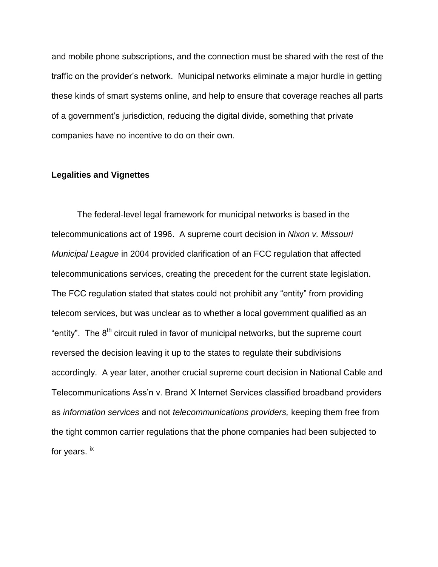and mobile phone subscriptions, and the connection must be shared with the rest of the traffic on the provider's network. Municipal networks eliminate a major hurdle in getting these kinds of smart systems online, and help to ensure that coverage reaches all parts of a government's jurisdiction, reducing the digital divide, something that private companies have no incentive to do on their own.

## **Legalities and Vignettes**

The federal-level legal framework for municipal networks is based in the telecommunications act of 1996. A supreme court decision in *Nixon v. Missouri Municipal League* in 2004 provided clarification of an FCC regulation that affected telecommunications services, creating the precedent for the current state legislation. The FCC regulation stated that states could not prohibit any "entity" from providing telecom services, but was unclear as to whether a local government qualified as an "entity". The  $8<sup>th</sup>$  circuit ruled in favor of municipal networks, but the supreme court reversed the decision leaving it up to the states to regulate their subdivisions accordingly. A year later, another crucial supreme court decision in National Cable and Telecommunications Ass'n v. Brand X Internet Services classified broadband providers as *information services* and not *telecommunications providers,* keeping them free from the tight common carrier regulations that the phone companies had been subjected to for years. <sup>ix</sup>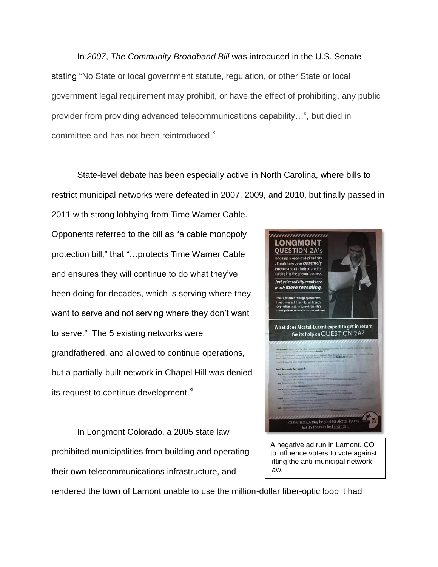In *2007*, *The Community Broadband Bill* was introduced in the U.S. Senate stating "No State or local government statute, regulation, or other State or local government legal requirement may prohibit, or have the effect of prohibiting, any public provider from providing advanced telecommunications capability…", but died in committee and has not been reintroduced.<sup>x</sup>

State-level debate has been especially active in North Carolina, where bills to restrict municipal networks were defeated in 2007, 2009, and 2010, but finally passed in 2011 with strong lobbying from Time Warner Cable.

Opponents referred to the bill as "a cable monopoly protection bill," that "…protects Time Warner Cable and ensures they will continue to do what they've been doing for decades, which is serving where they want to serve and not serving where they don't want to serve." The 5 existing networks were grandfathered, and allowed to continue operations, but a partially-built network in Chapel Hill was denied its request to continue development.<sup>xi</sup>

In Longmont Colorado, a 2005 state law prohibited municipalities from building and operating their own telecommunications infrastructure, and



lifting the anti-municipal network law.

rendered the town of Lamont unable to use the million-dollar fiber-optic loop it had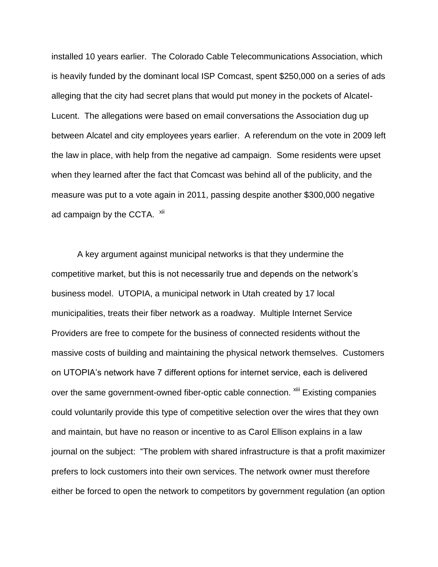installed 10 years earlier. The Colorado Cable Telecommunications Association, which is heavily funded by the dominant local ISP Comcast, spent \$250,000 on a series of ads alleging that the city had secret plans that would put money in the pockets of Alcatel-Lucent. The allegations were based on email conversations the Association dug up between Alcatel and city employees years earlier. A referendum on the vote in 2009 left the law in place, with help from the negative ad campaign. Some residents were upset when they learned after the fact that Comcast was behind all of the publicity, and the measure was put to a vote again in 2011, passing despite another \$300,000 negative ad campaign by the CCTA. xii

A key argument against municipal networks is that they undermine the competitive market, but this is not necessarily true and depends on the network's business model. UTOPIA, a municipal network in Utah created by 17 local municipalities, treats their fiber network as a roadway. Multiple Internet Service Providers are free to compete for the business of connected residents without the massive costs of building and maintaining the physical network themselves. Customers on UTOPIA's network have 7 different options for internet service, each is delivered over the same government-owned fiber-optic cable connection. **Xiii** Existing companies could voluntarily provide this type of competitive selection over the wires that they own and maintain, but have no reason or incentive to as Carol Ellison explains in a law journal on the subject: "The problem with shared infrastructure is that a profit maximizer prefers to lock customers into their own services. The network owner must therefore either be forced to open the network to competitors by government regulation (an option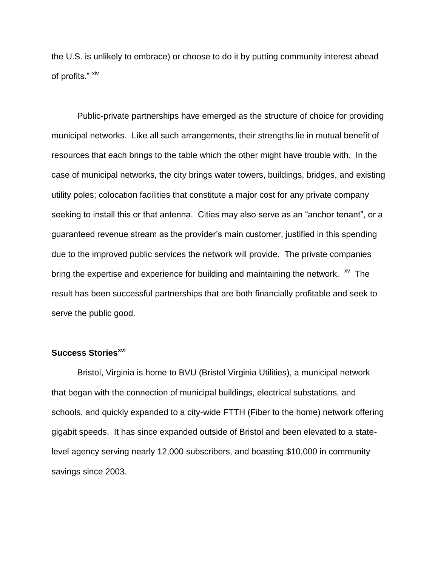the U.S. is unlikely to embrace) or choose to do it by putting community interest ahead of profits." xiv

Public-private partnerships have emerged as the structure of choice for providing municipal networks. Like all such arrangements, their strengths lie in mutual benefit of resources that each brings to the table which the other might have trouble with. In the case of municipal networks, the city brings water towers, buildings, bridges, and existing utility poles; colocation facilities that constitute a major cost for any private company seeking to install this or that antenna. Cities may also serve as an "anchor tenant", or a guaranteed revenue stream as the provider's main customer, justified in this spending due to the improved public services the network will provide. The private companies bring the expertise and experience for building and maintaining the network.  $\frac{x}{y}$  The result has been successful partnerships that are both financially profitable and seek to serve the public good.

## **Success Storiesxvi**

Bristol, Virginia is home to BVU (Bristol Virginia Utilities), a municipal network that began with the connection of municipal buildings, electrical substations, and schools, and quickly expanded to a city-wide FTTH (Fiber to the home) network offering gigabit speeds. It has since expanded outside of Bristol and been elevated to a statelevel agency serving nearly 12,000 subscribers, and boasting \$10,000 in community savings since 2003.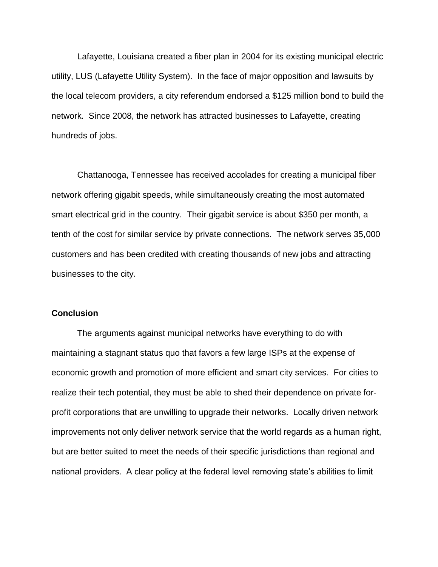Lafayette, Louisiana created a fiber plan in 2004 for its existing municipal electric utility, LUS (Lafayette Utility System). In the face of major opposition and lawsuits by the local telecom providers, a city referendum endorsed a \$125 million bond to build the network. Since 2008, the network has attracted businesses to Lafayette, creating hundreds of jobs.

Chattanooga, Tennessee has received accolades for creating a municipal fiber network offering gigabit speeds, while simultaneously creating the most automated smart electrical grid in the country. Their gigabit service is about \$350 per month, a tenth of the cost for similar service by private connections. The network serves 35,000 customers and has been credited with creating thousands of new jobs and attracting businesses to the city.

# **Conclusion**

The arguments against municipal networks have everything to do with maintaining a stagnant status quo that favors a few large ISPs at the expense of economic growth and promotion of more efficient and smart city services. For cities to realize their tech potential, they must be able to shed their dependence on private forprofit corporations that are unwilling to upgrade their networks. Locally driven network improvements not only deliver network service that the world regards as a human right, but are better suited to meet the needs of their specific jurisdictions than regional and national providers. A clear policy at the federal level removing state's abilities to limit